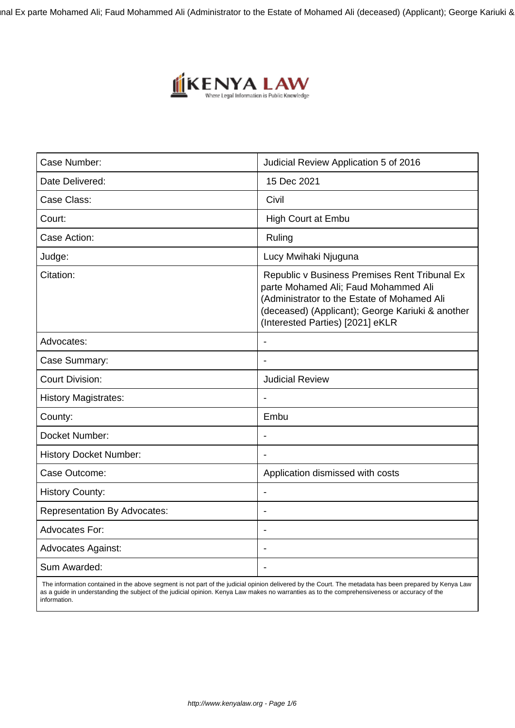nal Ex parte Mohamed Ali; Faud Mohammed Ali (Administrator to the Estate of Mohamed Ali (deceased) (Applicant); George Kariuki <mark>&</mark>



| Case Number:                        | Judicial Review Application 5 of 2016                                                                                                                                                                                        |
|-------------------------------------|------------------------------------------------------------------------------------------------------------------------------------------------------------------------------------------------------------------------------|
| Date Delivered:                     | 15 Dec 2021                                                                                                                                                                                                                  |
| Case Class:                         | Civil                                                                                                                                                                                                                        |
| Court:                              | High Court at Embu                                                                                                                                                                                                           |
| Case Action:                        | Ruling                                                                                                                                                                                                                       |
| Judge:                              | Lucy Mwihaki Njuguna                                                                                                                                                                                                         |
| Citation:                           | Republic v Business Premises Rent Tribunal Ex<br>parte Mohamed Ali; Faud Mohammed Ali<br>(Administrator to the Estate of Mohamed Ali<br>(deceased) (Applicant); George Kariuki & another<br>(Interested Parties) [2021] eKLR |
| Advocates:                          |                                                                                                                                                                                                                              |
| Case Summary:                       | $\overline{\phantom{a}}$                                                                                                                                                                                                     |
| <b>Court Division:</b>              | <b>Judicial Review</b>                                                                                                                                                                                                       |
| <b>History Magistrates:</b>         |                                                                                                                                                                                                                              |
| County:                             | Embu                                                                                                                                                                                                                         |
| Docket Number:                      |                                                                                                                                                                                                                              |
| <b>History Docket Number:</b>       |                                                                                                                                                                                                                              |
| Case Outcome:                       | Application dismissed with costs                                                                                                                                                                                             |
| <b>History County:</b>              | $\overline{\phantom{a}}$                                                                                                                                                                                                     |
| <b>Representation By Advocates:</b> | $\overline{\phantom{0}}$                                                                                                                                                                                                     |
| <b>Advocates For:</b>               |                                                                                                                                                                                                                              |
| <b>Advocates Against:</b>           |                                                                                                                                                                                                                              |
| Sum Awarded:                        |                                                                                                                                                                                                                              |

 The information contained in the above segment is not part of the judicial opinion delivered by the Court. The metadata has been prepared by Kenya Law as a guide in understanding the subject of the judicial opinion. Kenya Law makes no warranties as to the comprehensiveness or accuracy of the information.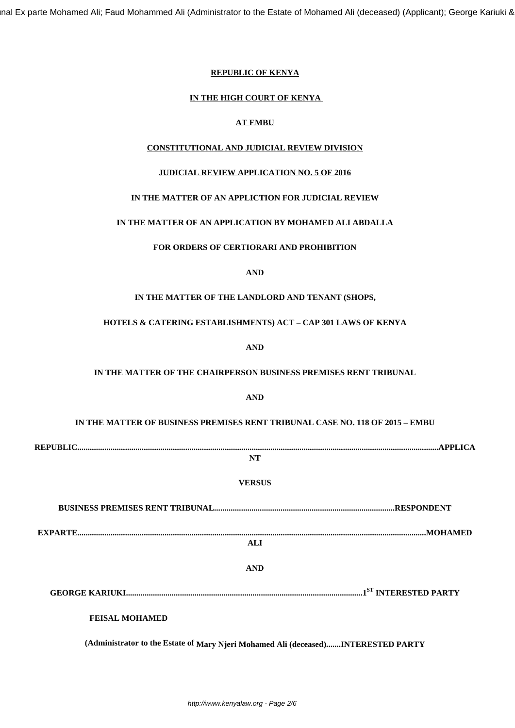## **REPUBLIC OF KENYA**

## **IN THE HIGH COURT OF KENYA**

# **AT EMBU**

# **CONSTITUTIONAL AND JUDICIAL REVIEW DIVISION**

# **JUDICIAL REVIEW APPLICATION NO. 5 OF 2016**

# **IN THE MATTER OF AN APPLICTION FOR JUDICIAL REVIEW**

## **IN THE MATTER OF AN APPLICATION BY MOHAMED ALI ABDALLA**

## **FOR ORDERS OF CERTIORARI AND PROHIBITION**

# **AND**

## **IN THE MATTER OF THE LANDLORD AND TENANT (SHOPS,**

## **HOTELS & CATERING ESTABLISHMENTS) ACT – CAP 301 LAWS OF KENYA**

**AND**

### **IN THE MATTER OF THE CHAIRPERSON BUSINESS PREMISES RENT TRIBUNAL**

# **AND**

# **IN THE MATTER OF BUSINESS PREMISES RENT TRIBUNAL CASE NO. 118 OF 2015 – EMBU**

| NT                    |  |
|-----------------------|--|
| <b>VERSUS</b>         |  |
|                       |  |
| ALI                   |  |
| <b>AND</b>            |  |
|                       |  |
| <b>FEISAL MOHAMED</b> |  |

**(Administrator to the Estate of Mary Njeri Mohamed Ali (deceased).......INTERESTED PARTY**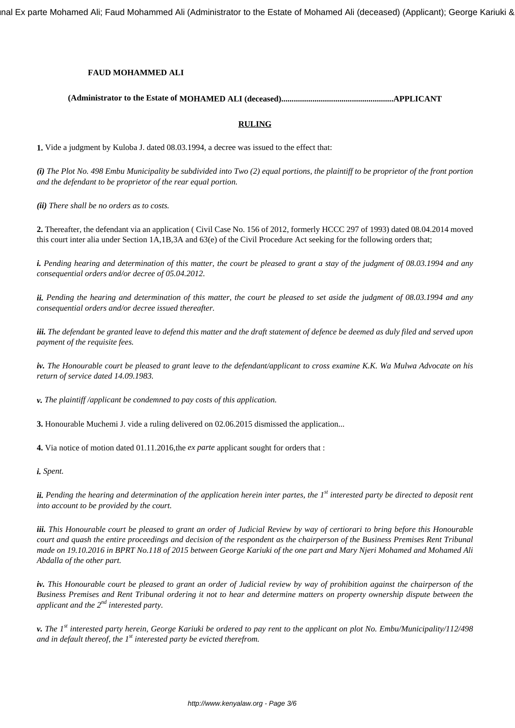nal Ex parte Mohamed Ali; Faud Mohammed Ali (Administrator to the Estate of Mohamed Ali (deceased) (Applicant); George Kariuki &

## **FAUD MOHAMMED ALI**

# **(Administrator to the Estate of MOHAMED ALI (deceased)......................................................APPLICANT**

#### **RULING**

**1.** Vide a judgment by Kuloba J. dated 08.03.1994, a decree was issued to the effect that:

*(i) The Plot No. 498 Embu Municipality be subdivided into Two (2) equal portions, the plaintiff to be proprietor of the front portion and the defendant to be proprietor of the rear equal portion.*

*(ii) There shall be no orders as to costs.*

**2.** Thereafter, the defendant via an application ( Civil Case No. 156 of 2012, formerly HCCC 297 of 1993) dated 08.04.2014 moved this court inter alia under Section 1A,1B,3A and 63(e) of the Civil Procedure Act seeking for the following orders that;

*i. Pending hearing and determination of this matter, the court be pleased to grant a stay of the judgment of 08.03.1994 and any consequential orders and/or decree of 05.04.2012.*

*ii. Pending the hearing and determination of this matter, the court be pleased to set aside the judgment of 08.03.1994 and any consequential orders and/or decree issued thereafter.*

*iii. The defendant be granted leave to defend this matter and the draft statement of defence be deemed as duly filed and served upon payment of the requisite fees.*

*iv. The Honourable court be pleased to grant leave to the defendant/applicant to cross examine K.K. Wa Mulwa Advocate on his return of service dated 14.09.1983.*

*v. The plaintiff /applicant be condemned to pay costs of this application.*

**3.** Honourable Muchemi J. vide a ruling delivered on 02.06.2015 dismissed the application...

**4.** Via notice of motion dated 01.11.2016,the *ex parte* applicant sought for orders that :

*i. Spent.*

*ii. Pending the hearing and determination of the application herein inter partes, the 1st interested party be directed to deposit rent into account to be provided by the court.*

*iii. This Honourable court be pleased to grant an order of Judicial Review by way of certiorari to bring before this Honourable court and quash the entire proceedings and decision of the respondent as the chairperson of the Business Premises Rent Tribunal made on 19.10.2016 in BPRT No.118 of 2015 between George Kariuki of the one part and Mary Njeri Mohamed and Mohamed Ali Abdalla of the other part.*

*iv. This Honourable court be pleased to grant an order of Judicial review by way of prohibition against the chairperson of the Business Premises and Rent Tribunal ordering it not to hear and determine matters on property ownership dispute between the applicant and the 2nd interested party.*

*v. The 1st interested party herein, George Kariuki be ordered to pay rent to the applicant on plot No. Embu/Municipality/112/498 and in default thereof, the 1st interested party be evicted therefrom.*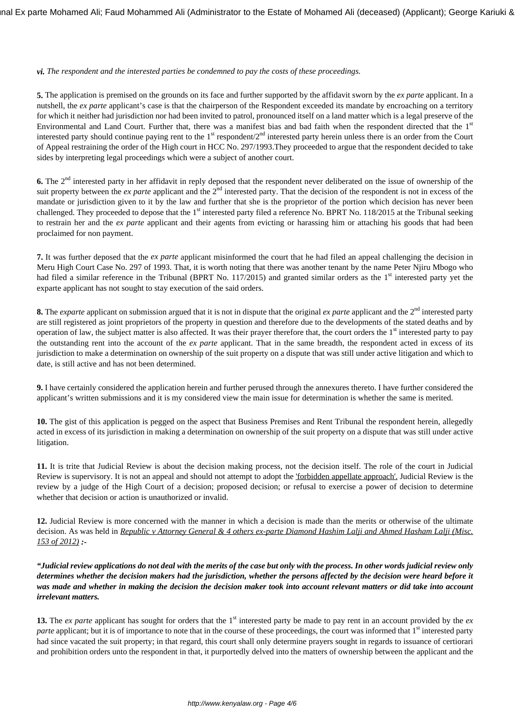#### *vi. The respondent and the interested parties be condemned to pay the costs of these proceedings.*

**5.** The application is premised on the grounds on its face and further supported by the affidavit sworn by the *ex parte* applicant. In a nutshell, the *ex parte* applicant's case is that the chairperson of the Respondent exceeded its mandate by encroaching on a territory for which it neither had jurisdiction nor had been invited to patrol, pronounced itself on a land matter which is a legal preserve of the Environmental and Land Court. Further that, there was a manifest bias and bad faith when the respondent directed that the 1<sup>st</sup> interested party should continue paying rent to the  $1<sup>st</sup>$  respondent/ $2<sup>nd</sup>$  interested party herein unless there is an order from the Court of Appeal restraining the order of the High court in HCC No. 297/1993.They proceeded to argue that the respondent decided to take sides by interpreting legal proceedings which were a subject of another court.

**6.** The 2<sup>nd</sup> interested party in her affidavit in reply deposed that the respondent never deliberated on the issue of ownership of the suit property between the *ex parte* applicant and the 2<sup>nd</sup> interested party. That the decision of the respondent is not in excess of the mandate or jurisdiction given to it by the law and further that she is the proprietor of the portion which decision has never been challenged. They proceeded to depose that the 1<sup>st</sup> interested party filed a reference No. BPRT No. 118/2015 at the Tribunal seeking to restrain her and the *ex parte* applicant and their agents from evicting or harassing him or attaching his goods that had been proclaimed for non payment.

**7.** It was further deposed that the *ex parte* applicant misinformed the court that he had filed an appeal challenging the decision in Meru High Court Case No. 297 of 1993. That, it is worth noting that there was another tenant by the name Peter Njiru Mbogo who had filed a similar reference in the Tribunal (BPRT No. 117/2015) and granted similar orders as the 1<sup>st</sup> interested party yet the exparte applicant has not sought to stay execution of the said orders.

**8.** The *exparte* applicant on submission argued that it is not in dispute that the original *ex parte* applicant and the  $2^{nd}$  interested party are still registered as joint proprietors of the property in question and therefore due to the developments of the stated deaths and by operation of law, the subject matter is also affected. It was their prayer therefore that, the court orders the 1<sup>st</sup> interested party to pay the outstanding rent into the account of the *ex parte* applicant. That in the same breadth, the respondent acted in excess of its jurisdiction to make a determination on ownership of the suit property on a dispute that was still under active litigation and which to date, is still active and has not been determined.

**9.** I have certainly considered the application herein and further perused through the annexures thereto. I have further considered the applicant's written submissions and it is my considered view the main issue for determination is whether the same is merited.

**10.** The gist of this application is pegged on the aspect that Business Premises and Rent Tribunal the respondent herein, allegedly acted in excess of its jurisdiction in making a determination on ownership of the suit property on a dispute that was still under active litigation.

**11.** It is trite that Judicial Review is about the decision making process, not the decision itself. The role of the court in Judicial Review is supervisory. It is not an appeal and should not attempt to adopt the 'forbidden appellate approach'. Judicial Review is the review by a judge of the High Court of a decision; proposed decision; or refusal to exercise a power of decision to determine whether that decision or action is unauthorized or invalid.

**12.** Judicial Review is more concerned with the manner in which a decision is made than the merits or otherwise of the ultimate decision. As was held in *Republic v Attorney General & 4 others ex-parte Diamond Hashim Lalji and Ahmed Hasham Lalji (Misc. 153 of 2012) :-*

*"Judicial review applications do not deal with the merits of the case but only with the process. In other words judicial review only determines whether the decision makers had the jurisdiction, whether the persons affected by the decision were heard before it was made and whether in making the decision the decision maker took into account relevant matters or did take into account irrelevant matters.* 

**13.** The *ex parte* applicant has sought for orders that the 1<sup>st</sup> interested party be made to pay rent in an account provided by the *ex parte* applicant; but it is of importance to note that in the course of these proceedings, the court was informed that 1<sup>st</sup> interested party had since vacated the suit property; in that regard, this court shall only determine prayers sought in regards to issuance of certiorari and prohibition orders unto the respondent in that, it purportedly delved into the matters of ownership between the applicant and the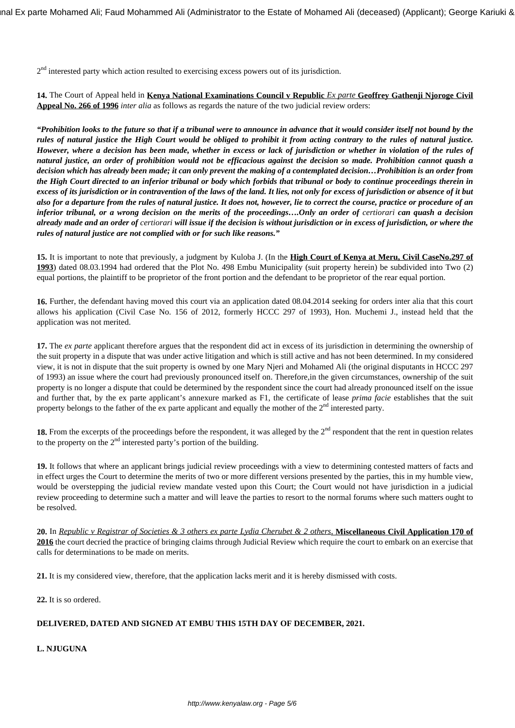2<sup>nd</sup> interested party which action resulted to exercising excess powers out of its jurisdiction.

**14.** The Court of Appeal held in **Kenya National Examinations Council v Republic** *Ex parte* **Geoffrey Gathenji Njoroge Civil Appeal No. 266 of 1996** *inter alia* as follows as regards the nature of the two judicial review orders:

*"Prohibition looks to the future so that if a tribunal were to announce in advance that it would consider itself not bound by the rules of natural justice the High Court would be obliged to prohibit it from acting contrary to the rules of natural justice. However, where a decision has been made, whether in excess or lack of jurisdiction or whether in violation of the rules of natural justice, an order of prohibition would not be efficacious against the decision so made. Prohibition cannot quash a decision which has already been made; it can only prevent the making of a contemplated decision…Prohibition is an order from the High Court directed to an inferior tribunal or body which forbids that tribunal or body to continue proceedings therein in excess of its jurisdiction or in contravention of the laws of the land. It lies, not only for excess of jurisdiction or absence of it but also for a departure from the rules of natural justice. It does not, however, lie to correct the course, practice or procedure of an* inferior tribunal, or a wrong decision on the merits of the proceedings....Only an order of certiorari can quash a decision *already made and an order of certiorari will issue if the decision is without jurisdiction or in excess of jurisdiction, or where the rules of natural justice are not complied with or for such like reasons."*

**15.** It is important to note that previously, a judgment by Kuloba J. (In the **High Court of Kenya at Meru, Civil CaseNo.297 of 1993**) dated 08.03.1994 had ordered that the Plot No. 498 Embu Municipality (suit property herein) be subdivided into Two (2) equal portions, the plaintiff to be proprietor of the front portion and the defendant to be proprietor of the rear equal portion.

16. Further, the defendant having moved this court via an application dated 08.04.2014 seeking for orders inter alia that this court allows his application (Civil Case No. 156 of 2012, formerly HCCC 297 of 1993), Hon. Muchemi J., instead held that the application was not merited.

**17.** The *ex parte* applicant therefore argues that the respondent did act in excess of its jurisdiction in determining the ownership of the suit property in a dispute that was under active litigation and which is still active and has not been determined. In my considered view, it is not in dispute that the suit property is owned by one Mary Njeri and Mohamed Ali (the original disputants in HCCC 297 of 1993) an issue where the court had previously pronounced itself on. Therefore,in the given circumstances, ownership of the suit property is no longer a dispute that could be determined by the respondent since the court had already pronounced itself on the issue and further that, by the ex parte applicant's annexure marked as F1, the certificate of lease *prima facie* establishes that the suit property belongs to the father of the ex parte applicant and equally the mother of the  $2<sup>nd</sup>$  interested party.

18. From the excerpts of the proceedings before the respondent, it was alleged by the 2<sup>nd</sup> respondent that the rent in question relates to the property on the  $2<sup>nd</sup>$  interested party's portion of the building.

**19.** It follows that where an applicant brings judicial review proceedings with a view to determining contested matters of facts and in effect urges the Court to determine the merits of two or more different versions presented by the parties, this in my humble view, would be overstepping the judicial review mandate vested upon this Court; the Court would not have jurisdiction in a judicial review proceeding to determine such a matter and will leave the parties to resort to the normal forums where such matters ought to be resolved.

**20.** In *Republic v Registrar of Societies & 3 others ex parte Lydia Cherubet & 2 others*, **Miscellaneous Civil Application 170 of 2016** the court decried the practice of bringing claims through Judicial Review which require the court to embark on an exercise that calls for determinations to be made on merits.

**21.** It is my considered view, therefore, that the application lacks merit and it is hereby dismissed with costs.

**22.** It is so ordered.

# **DELIVERED, DATED AND SIGNED AT EMBU THIS 15TH DAY OF DECEMBER, 2021.**

**L. NJUGUNA**